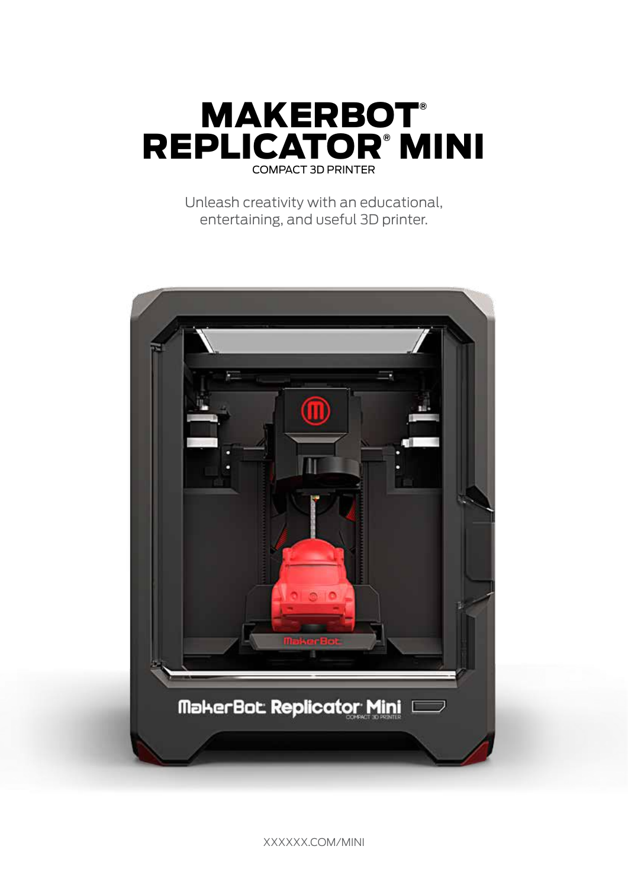

Unleash creativity with an educational, entertaining, and useful 3D printer.